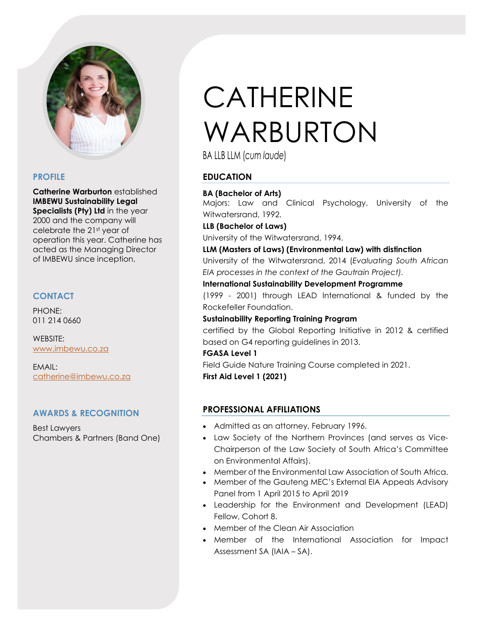

## **PROFILE**

**Catherine Warburton** established **IMBEWU Sustainability Legal Specialists (Pty) Ltd** in the year 2000 and the company will celebrate the 21st year of operation this year. Catherine has acted as the Managing Director of IMBEWU since inception.

# **CONTACT**

PHONE: 011 214 0660

WEBSITE: [www.imbewu.co.za](http://www.imbewu.co.za/) 

EMAIL: [catherine@imbewu.co.za](mailto:catherine@imbewu.co.za)

# **AWARDS & RECOGNITION**

Best Lawyers Chambers & Partners (Band One)

# CATHERINE WARBURTON

BA LLB LLM (*cum laude*)

# **EDUCATION**

#### **BA (Bachelor of Arts)**

Majors: Law and Clinical Psychology, University of the Witwatersrand, 1992.

**LLB (Bachelor of Laws)** 

University of the Witwatersrand, 1994.

#### **LLM (Masters of Laws) (Environmental Law) with distinction**

University of the Witwatersrand, 2014 (*Evaluating South African EIA processes in the context of the Gautrain Project).*

**International Sustainability Development Programme**

(1999 - 2001) through LEAD International & funded by the Rockefeller Foundation.

#### **Sustainability Reporting Training Program**

certified by the Global Reporting Initiative in 2012 & certified based on G4 reporting guidelines in 2013.

# **FGASA Level 1**

Field Guide Nature Training Course completed in 2021. **First Aid Level 1 (2021)**

# **PROFESSIONAL AFFILIATIONS**

- Admitted as an attorney, February 1996.
- Law Society of the Northern Provinces (and serves as Vice-Chairperson of the Law Society of South Africa's Committee on Environmental Affairs).
- Member of the Environmental Law Association of South Africa.
- Member of the Gauteng MEC's External EIA Appeals Advisory Panel from 1 April 2015 to April 2019
- Leadership for the Environment and Development (LEAD) Fellow, Cohort 8.
- Member of the Clean Air Association
- Member of the International Association for Impact Assessment SA (IAIA – SA).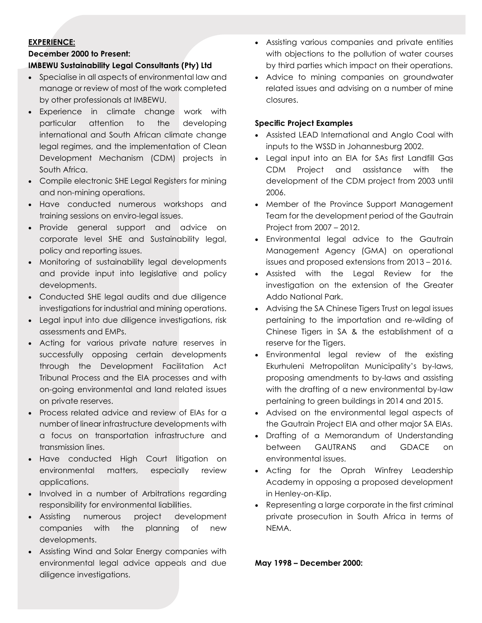#### **EXPERIENCE:**

#### **December 2000 to Present:**

#### **IMBEWU Sustainability Legal Consultants (Pty) Ltd**

- Specialise in all aspects of environmental law and manage or review of most of the work completed by other professionals at IMBEWU.
- Experience in climate change work with particular attention to the developing international and South African climate change legal regimes, and the implementation of Clean Development Mechanism (CDM) projects in South Africa.
- Compile electronic SHE Legal Registers for mining and non-mining operations.
- Have conducted numerous workshops and training sessions on enviro-legal issues.
- Provide general support and advice on corporate level SHE and Sustainability legal, policy and reporting issues.
- Monitoring of sustainability legal developments and provide input into legislative and policy developments.
- Conducted SHE legal audits and due diligence investigations for industrial and mining operations.
- Legal input into due diligence investigations, risk assessments and EMPs.
- Acting for various private nature reserves in successfully opposing certain developments through the Development Facilitation Act Tribunal Process and the EIA processes and with on-going environmental and land related issues on private reserves.
- Process related advice and review of EIAs for a number of linear infrastructure developments with a focus on transportation infrastructure and transmission lines.
- Have conducted High Court litigation on environmental matters, especially review applications.
- Involved in a number of Arbitrations regarding responsibility for environmental liabilities.
- Assisting numerous project development companies with the planning of new developments.
- Assisting Wind and Solar Energy companies with environmental legal advice appeals and due diligence investigations.
- Assisting various companies and private entities with objections to the pollution of water courses by third parties which impact on their operations.
- Advice to mining companies on groundwater related issues and advising on a number of mine closures.

#### **Specific Project Examples**

- Assisted LEAD International and Anglo Coal with inputs to the WSSD in Johannesburg 2002.
- Legal input into an EIA for SAs first Landfill Gas CDM Project and assistance with the development of the CDM project from 2003 until 2006.
- Member of the Province Support Management Team for the development period of the Gautrain Project from 2007 – 2012.
- Environmental legal advice to the Gautrain Management Agency (GMA) on operational issues and proposed extensions from 2013 – 2016.
- Assisted with the Legal Review for the investigation on the extension of the Greater Addo National Park.
- Advising the SA Chinese Tigers Trust on legal issues pertaining to the importation and re-wilding of Chinese Tigers in SA & the establishment of a reserve for the Tigers.
- Environmental legal review of the existing Ekurhuleni Metropolitan Municipality's by-laws, proposing amendments to by-laws and assisting with the drafting of a new environmental by-law pertaining to green buildings in 2014 and 2015.
- Advised on the environmental legal aspects of the Gautrain Project EIA and other major SA EIAs.
- Drafting of a Memorandum of Understanding between GAUTRANS and GDACE on environmental issues.
- Acting for the Oprah Winfrey Leadership Academy in opposing a proposed development in Henley-on-Klip.
- Representing a large corporate in the first criminal private prosecution in South Africa in terms of NEMA.

**May 1998 – December 2000:**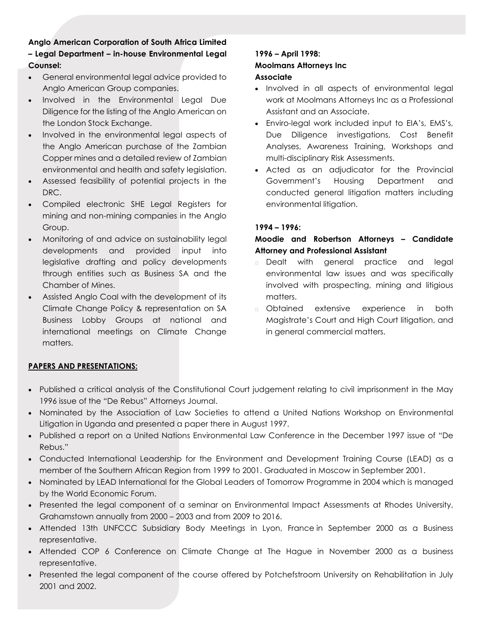# **Anglo American Corporation of South Africa Limited – Legal Department – in-house Environmental Legal Counsel:**

- General environmental legal advice provided to Anglo American Group companies.
- Involved in the Environmental Legal Due Diligence for the listing of the Anglo American on the London Stock Exchange.
- Involved in the environmental legal aspects of the Anglo American purchase of the Zambian Copper mines and a detailed review of Zambian environmental and health and safety legislation.
- Assessed feasibility of potential projects in the DRC.
- Compiled electronic SHE Legal Registers for mining and non-mining companies in the Anglo Group.
- Monitoring of and advice on sustainability legal developments and provided input into legislative drafting and policy developments through entities such as Business SA and the Chamber of Mines.
- Assisted Anglo Coal with the development of its Climate Change Policy & representation on SA Business Lobby Groups at national and international meetings on Climate Change matters.

# **1996 – April 1998: Moolmans Attorneys Inc Associate**

- Involved in all aspects of environmental legal work at Moolmans Attorneys Inc as a Professional Assistant and an Associate.
- Enviro-legal work included input to EIA's, EMS's, Due Diligence investigations, Cost Benefit Analyses, Awareness Training, Workshops and multi-disciplinary Risk Assessments.
- Acted as an adjudicator for the Provincial Government's Housing Department and conducted general litigation matters including environmental litigation.

# **1994 – 1996:**

## **Moodie and Robertson Attorneys – Candidate Attorney and Professional Assistant**

- **Dealt with general practice and legal** environmental law issues and was specifically involved with prospecting, mining and litigious matters.
- Obtained extensive experience in both Magistrate's Court and High Court litigation, and in general commercial matters.

# **PAPERS AND PRESENTATIONS:**

- Published a critical analysis of the Constitutional Court judgement relating to civil imprisonment in the May 1996 issue of the "De Rebus" Attorneys Journal.
- Nominated by the Association of Law Societies to attend a United Nations Workshop on Environmental Litigation in Uganda and presented a paper there in August 1997.
- Published a report on a United Nations Environmental Law Conference in the December 1997 issue of "De Rebus."
- Conducted International Leadership for the Environment and Development Training Course (LEAD) as a member of the Southern African Region from 1999 to 2001. Graduated in Moscow in September 2001.
- Nominated by LEAD International for the Global Leaders of Tomorrow Programme in 2004 which is managed by the World Economic Forum.
- Presented the legal component of a seminar on Environmental Impact Assessments at Rhodes University, Grahamstown annually from 2000 – 2003 and from 2009 to 2016.
- Attended 13th UNFCCC Subsidiary Body Meetings in Lyon, France in September 2000 as a Business representative.
- Attended COP 6 Conference on Climate Change at The Hague in November 2000 as a business representative.
- Presented the legal component of the course offered by Potchefstroom University on Rehabilitation in July 2001 and 2002.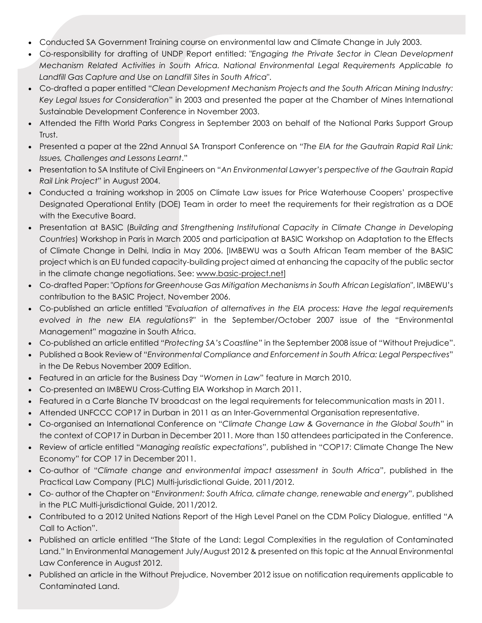- Conducted SA Government Training course on environmental law and Climate Change in July 2003.
- Co-responsibility for drafting of UNDP Report entitled: "*Engaging the Private Sector in Clean Development Mechanism Related Activities in South Africa. National Environmental Legal Requirements Applicable to Landfill Gas Capture and Use on Landfill Sites in South Africa*".
- Co-drafted a paper entitled "*Clean Development Mechanism Projects and the South African Mining Industry: Key Legal Issues for Consideration*" in 2003 and presented the paper at the Chamber of Mines International Sustainable Development Conference in November 2003.
- Attended the Fifth World Parks Congress in September 2003 on behalf of the National Parks Support Group Trust.
- Presented a paper at the 22nd Annual SA Transport Conference on "*The EIA for the Gautrain Rapid Rail Link: Issues, Challenges and Lessons Learnt*."
- Presentation to SA Institute of Civil Engineers on "*An Environmental Lawyer's perspective of the Gautrain Rapid Rail Link Project*" in August 2004.
- Conducted a training workshop in 2005 on Climate Law issues for Price Waterhouse Coopers' prospective Designated Operational Entity (DOE) Team in order to meet the requirements for their registration as a DOE with the Executive Board.
- Presentation at BASIC (*Building and Strengthening Institutional Capacity in Climate Change in Developing Countries*) Workshop in Paris in March 2005 and participation at BASIC Workshop on Adaptation to the Effects of Climate Change in Delhi, India in May 2006. [IMBEWU was a South African Team member of the BASIC project which is an EU funded capacity-building project aimed at enhancing the capacity of the public sector in the climate change negotiations. See: [www.basic-project.net\]](http://www.basic-project.net/)
- Co-drafted Paper: "*Options for Greenhouse Gas Mitigation Mechanisms in South African Legislation*", IMBEWU's contribution to the BASIC Project, November 2006.
- Co-published an article entitled "*Evaluation of alternatives in the EIA process: Have the legal requirements evolved in the new EIA regulations?*" in the September/October 2007 issue of the "Environmental Management" magazine in South Africa.
- Co-published an article entitled *"Protecting SA's Coastline"* in the September 2008 issue of "Without Prejudice".
- Published a Book Review of "*Environmental Compliance and Enforcement in South Africa: Legal Perspectives*" in the De Rebus November 2009 Edition.
- Featured in an article for the Business Day "*Women in Law*" feature in March 2010.
- Co-presented an IMBEWU Cross-Cutting EIA Workshop in March 2011.
- Featured in a Carte Blanche TV broadcast on the legal requirements for telecommunication masts in 2011.
- Attended UNFCCC COP17 in Durban in 2011 as an Inter-Governmental Organisation representative.
- Co-organised an International Conference on "*Climate Change Law & Governance in the Global South*" in the context of COP17 in Durban in December 2011. More than 150 attendees participated in the Conference.
- Review of article entitled "*Managing realistic expectations*", published in "COP17: Climate Change The New Economy" for COP 17 in December 2011.
- Co-author of "*Climate change and environmental impact assessment in South Africa*", published in the Practical Law Company (PLC) Multi-jurisdictional Guide, 2011/2012.
- Co- author of the Chapter on "*Environment: South Africa, climate change, renewable and energy*", published in the PLC Multi-jurisdictional Guide, 2011/2012.
- Contributed to a 2012 United Nations Report of the High Level Panel on the CDM Policy Dialogue, entitled "A Call to Action".
- Published an article entitled "The State of the Land: Legal Complexities in the regulation of Contaminated Land." In Environmental Management July/August 2012 & presented on this topic at the Annual Environmental Law Conference in August 2012.
- Published an article in the Without Prejudice, November 2012 issue on notification requirements applicable to Contaminated Land.